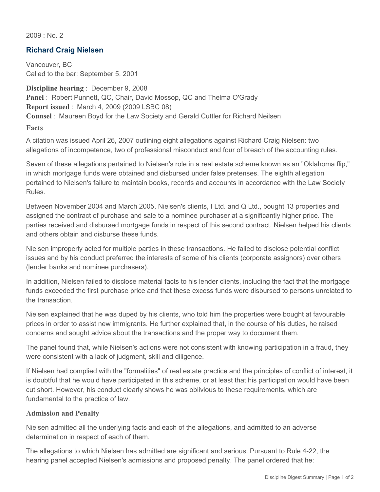2009 : No. 2

## **Richard Craig Nielsen**

Vancouver, BC Called to the bar: September 5, 2001

**Discipline hearing** : December 9, 2008 **Panel** : Robert Punnett, QC, Chair, David Mossop, QC and Thelma O'Grady **Report issued** : March 4, 2009 (2009 LSBC 08) **Counsel** : Maureen Boyd for the Law Society and Gerald Cuttler for Richard Neilsen **Facts**

A citation was issued April 26, 2007 outlining eight allegations against Richard Craig Nielsen: two

allegations of incompetence, two of professional misconduct and four of breach of the accounting rules.

Seven of these allegations pertained to Nielsen's role in a real estate scheme known as an "Oklahoma flip," in which mortgage funds were obtained and disbursed under false pretenses. The eighth allegation pertained to Nielsen's failure to maintain books, records and accounts in accordance with the Law Society Rules.

Between November 2004 and March 2005, Nielsen's clients, I Ltd. and Q Ltd., bought 13 properties and assigned the contract of purchase and sale to a nominee purchaser at a significantly higher price. The parties received and disbursed mortgage funds in respect of this second contract. Nielsen helped his clients and others obtain and disburse these funds.

Nielsen improperly acted for multiple parties in these transactions. He failed to disclose potential conflict issues and by his conduct preferred the interests of some of his clients (corporate assignors) over others (lender banks and nominee purchasers).

In addition, Nielsen failed to disclose material facts to his lender clients, including the fact that the mortgage funds exceeded the first purchase price and that these excess funds were disbursed to persons unrelated to the transaction.

Nielsen explained that he was duped by his clients, who told him the properties were bought at favourable prices in order to assist new immigrants. He further explained that, in the course of his duties, he raised concerns and sought advice about the transactions and the proper way to document them.

The panel found that, while Nielsen's actions were not consistent with knowing participation in a fraud, they were consistent with a lack of judgment, skill and diligence.

If Nielsen had complied with the "formalities" of real estate practice and the principles of conflict of interest, it is doubtful that he would have participated in this scheme, or at least that his participation would have been cut short. However, his conduct clearly shows he was oblivious to these requirements, which are fundamental to the practice of law.

## **Admission and Penalty**

Nielsen admitted all the underlying facts and each of the allegations, and admitted to an adverse determination in respect of each of them.

The allegations to which Nielsen has admitted are significant and serious. Pursuant to Rule 4-22, the hearing panel accepted Nielsen's admissions and proposed penalty. The panel ordered that he: